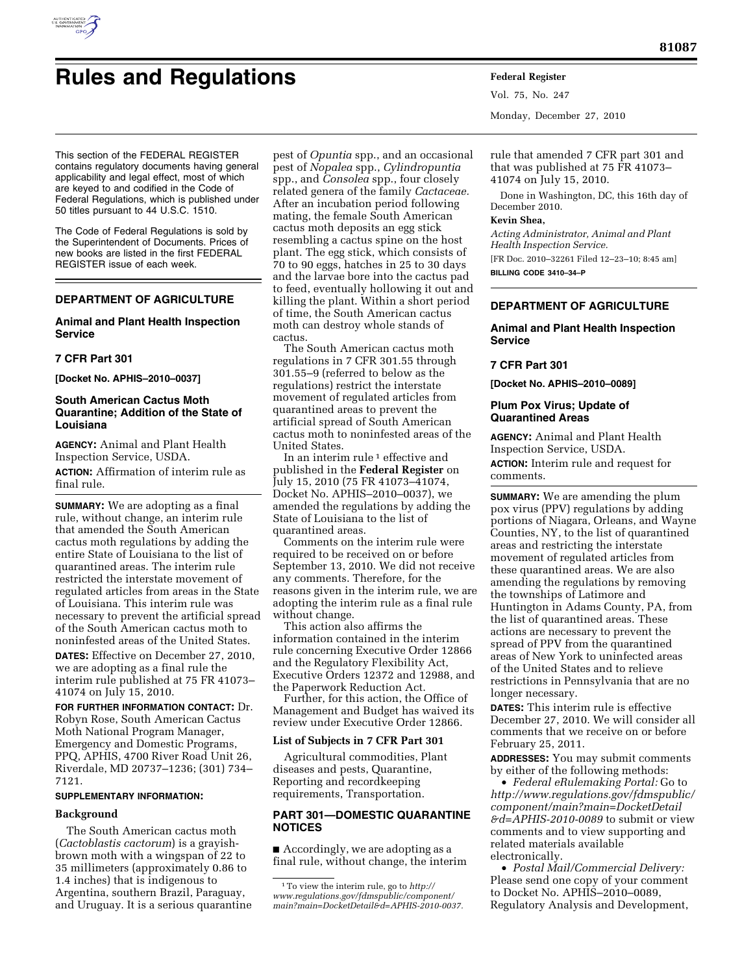

# **Rules and Regulations Federal Register**

This section of the FEDERAL REGISTER contains regulatory documents having general applicability and legal effect, most of which are keyed to and codified in the Code of Federal Regulations, which is published under 50 titles pursuant to 44 U.S.C. 1510.

The Code of Federal Regulations is sold by the Superintendent of Documents. Prices of new books are listed in the first FEDERAL REGISTER issue of each week.

# **DEPARTMENT OF AGRICULTURE**

# **Animal and Plant Health Inspection Service**

## **7 CFR Part 301**

**[Docket No. APHIS–2010–0037]** 

# **South American Cactus Moth Quarantine; Addition of the State of Louisiana**

**AGENCY:** Animal and Plant Health Inspection Service, USDA. **ACTION:** Affirmation of interim rule as

final rule.

**SUMMARY:** We are adopting as a final rule, without change, an interim rule that amended the South American cactus moth regulations by adding the entire State of Louisiana to the list of quarantined areas. The interim rule restricted the interstate movement of regulated articles from areas in the State of Louisiana. This interim rule was necessary to prevent the artificial spread of the South American cactus moth to noninfested areas of the United States.

**DATES:** Effective on December 27, 2010, we are adopting as a final rule the interim rule published at 75 FR 41073– 41074 on July 15, 2010.

**FOR FURTHER INFORMATION CONTACT:** Dr. Robyn Rose, South American Cactus Moth National Program Manager, Emergency and Domestic Programs, PPQ, APHIS, 4700 River Road Unit 26, Riverdale, MD 20737–1236; (301) 734– 7121.

#### **SUPPLEMENTARY INFORMATION:**

## **Background**

The South American cactus moth (*Cactoblastis cactorum*) is a grayishbrown moth with a wingspan of 22 to 35 millimeters (approximately 0.86 to 1.4 inches) that is indigenous to Argentina, southern Brazil, Paraguay, and Uruguay. It is a serious quarantine

pest of *Opuntia* spp., and an occasional pest of *Nopalea* spp., *Cylindropuntia*  spp., and *Consolea* spp., four closely related genera of the family *Cactaceae.*  After an incubation period following mating, the female South American cactus moth deposits an egg stick resembling a cactus spine on the host plant. The egg stick, which consists of 70 to 90 eggs, hatches in 25 to 30 days and the larvae bore into the cactus pad to feed, eventually hollowing it out and killing the plant. Within a short period of time, the South American cactus moth can destroy whole stands of cactus.

The South American cactus moth regulations in 7 CFR 301.55 through 301.55–9 (referred to below as the regulations) restrict the interstate movement of regulated articles from quarantined areas to prevent the artificial spread of South American cactus moth to noninfested areas of the United States.

In an interim rule<sup>1</sup> effective and published in the **Federal Register** on July 15, 2010 (75 FR 41073–41074, Docket No. APHIS–2010–0037), we amended the regulations by adding the State of Louisiana to the list of quarantined areas.

Comments on the interim rule were required to be received on or before September 13, 2010. We did not receive any comments. Therefore, for the reasons given in the interim rule, we are adopting the interim rule as a final rule without change.

This action also affirms the information contained in the interim rule concerning Executive Order 12866 and the Regulatory Flexibility Act, Executive Orders 12372 and 12988, and the Paperwork Reduction Act.

Further, for this action, the Office of Management and Budget has waived its review under Executive Order 12866.

## **List of Subjects in 7 CFR Part 301**

Agricultural commodities, Plant diseases and pests, Quarantine, Reporting and recordkeeping requirements, Transportation.

## **PART 301—DOMESTIC QUARANTINE NOTICES**

■ Accordingly, we are adopting as a final rule, without change, the interim Vol. 75, No. 247 Monday, December 27, 2010

rule that amended 7 CFR part 301 and that was published at 75 FR 41073– 41074 on July 15, 2010.

Done in Washington, DC, this 16th day of December 2010.

## **Kevin Shea,**

*Acting Administrator, Animal and Plant Health Inspection Service.*  [FR Doc. 2010–32261 Filed 12–23–10; 8:45 am]

**BILLING CODE 3410–34–P** 

# **DEPARTMENT OF AGRICULTURE**

# **Animal and Plant Health Inspection Service**

# **7 CFR Part 301**

**[Docket No. APHIS–2010–0089]** 

## **Plum Pox Virus; Update of Quarantined Areas**

**AGENCY:** Animal and Plant Health Inspection Service, USDA. **ACTION:** Interim rule and request for comments.

**SUMMARY:** We are amending the plum pox virus (PPV) regulations by adding portions of Niagara, Orleans, and Wayne Counties, NY, to the list of quarantined areas and restricting the interstate movement of regulated articles from these quarantined areas. We are also amending the regulations by removing the townships of Latimore and Huntington in Adams County, PA, from the list of quarantined areas. These actions are necessary to prevent the spread of PPV from the quarantined areas of New York to uninfected areas of the United States and to relieve restrictions in Pennsylvania that are no longer necessary.

**DATES:** This interim rule is effective December 27, 2010. We will consider all comments that we receive on or before February 25, 2011.

**ADDRESSES:** You may submit comments by either of the following methods:

• *Federal eRulemaking Portal:* Go to *[http://www.regulations.gov/fdmspublic/](http://www.regulations.gov/fdmspublic/component/main?main=DocketDetail&d=APHIS-2010-0089) [component/main?main=DocketDetail](http://www.regulations.gov/fdmspublic/component/main?main=DocketDetail&d=APHIS-2010-0089) [&d=APHIS-2010-0089](http://www.regulations.gov/fdmspublic/component/main?main=DocketDetail&d=APHIS-2010-0089)* to submit or view comments and to view supporting and related materials available electronically.

• *Postal Mail/Commercial Delivery:*  Please send one copy of your comment to Docket No. APHIS–2010–0089, Regulatory Analysis and Development,

<sup>1</sup>To view the interim rule, go to *[http://](http://www.regulations.gov/fdmspublic/component/main?main=DocketDetail&d=APHIS-2010-0037)  [www.regulations.gov/fdmspublic/component/](http://www.regulations.gov/fdmspublic/component/main?main=DocketDetail&d=APHIS-2010-0037) [main?main=DocketDetail&d=APHIS-2010-0037.](http://www.regulations.gov/fdmspublic/component/main?main=DocketDetail&d=APHIS-2010-0037)*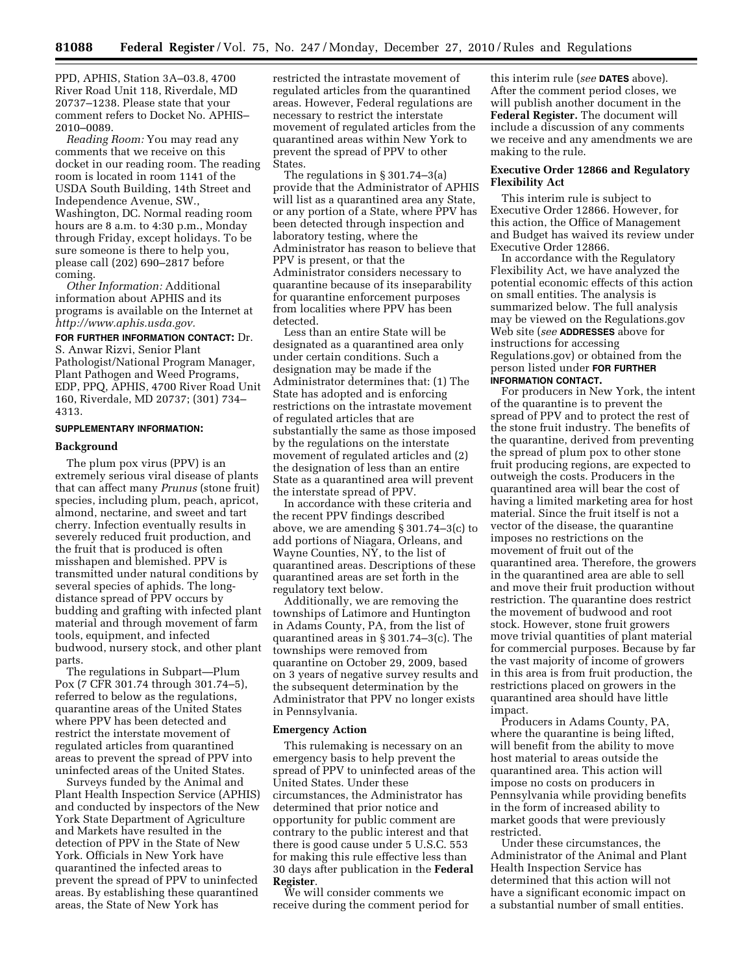PPD, APHIS, Station 3A–03.8, 4700 River Road Unit 118, Riverdale, MD 20737–1238. Please state that your comment refers to Docket No. APHIS– 2010–0089.

*Reading Room:* You may read any comments that we receive on this docket in our reading room. The reading room is located in room 1141 of the USDA South Building, 14th Street and Independence Avenue, SW., Washington, DC. Normal reading room hours are 8 a.m. to 4:30 p.m., Monday through Friday, except holidays. To be sure someone is there to help you, please call (202) 690–2817 before coming.

*Other Information:* Additional information about APHIS and its programs is available on the Internet at *[http://www.aphis.usda.gov.](http://www.aphis.usda.gov)* 

**FOR FURTHER INFORMATION CONTACT:** Dr. S. Anwar Rizvi, Senior Plant Pathologist/National Program Manager, Plant Pathogen and Weed Programs, EDP, PPQ, APHIS, 4700 River Road Unit 160, Riverdale, MD 20737; (301) 734– 4313.

#### **SUPPLEMENTARY INFORMATION:**

#### **Background**

The plum pox virus (PPV) is an extremely serious viral disease of plants that can affect many *Prunus* (stone fruit) species, including plum, peach, apricot, almond, nectarine, and sweet and tart cherry. Infection eventually results in severely reduced fruit production, and the fruit that is produced is often misshapen and blemished. PPV is transmitted under natural conditions by several species of aphids. The longdistance spread of PPV occurs by budding and grafting with infected plant material and through movement of farm tools, equipment, and infected budwood, nursery stock, and other plant parts.

The regulations in Subpart—Plum Pox (7 CFR 301.74 through 301.74–5), referred to below as the regulations, quarantine areas of the United States where PPV has been detected and restrict the interstate movement of regulated articles from quarantined areas to prevent the spread of PPV into uninfected areas of the United States.

Surveys funded by the Animal and Plant Health Inspection Service (APHIS) and conducted by inspectors of the New York State Department of Agriculture and Markets have resulted in the detection of PPV in the State of New York. Officials in New York have quarantined the infected areas to prevent the spread of PPV to uninfected areas. By establishing these quarantined areas, the State of New York has

restricted the intrastate movement of regulated articles from the quarantined areas. However, Federal regulations are necessary to restrict the interstate movement of regulated articles from the quarantined areas within New York to prevent the spread of PPV to other States.

The regulations in § 301.74–3(a) provide that the Administrator of APHIS will list as a quarantined area any State, or any portion of a State, where PPV has been detected through inspection and laboratory testing, where the Administrator has reason to believe that PPV is present, or that the Administrator considers necessary to quarantine because of its inseparability for quarantine enforcement purposes from localities where PPV has been detected.

Less than an entire State will be designated as a quarantined area only under certain conditions. Such a designation may be made if the Administrator determines that: (1) The State has adopted and is enforcing restrictions on the intrastate movement of regulated articles that are substantially the same as those imposed by the regulations on the interstate movement of regulated articles and (2) the designation of less than an entire State as a quarantined area will prevent the interstate spread of PPV.

In accordance with these criteria and the recent PPV findings described above, we are amending § 301.74–3(c) to add portions of Niagara, Orleans, and Wayne Counties, NY, to the list of quarantined areas. Descriptions of these quarantined areas are set forth in the regulatory text below.

Additionally, we are removing the townships of Latimore and Huntington in Adams County, PA, from the list of quarantined areas in § 301.74–3(c). The townships were removed from quarantine on October 29, 2009, based on 3 years of negative survey results and the subsequent determination by the Administrator that PPV no longer exists in Pennsylvania.

#### **Emergency Action**

This rulemaking is necessary on an emergency basis to help prevent the spread of PPV to uninfected areas of the United States. Under these circumstances, the Administrator has determined that prior notice and opportunity for public comment are contrary to the public interest and that there is good cause under 5 U.S.C. 553 for making this rule effective less than 30 days after publication in the **Federal Register**.

We will consider comments we receive during the comment period for

this interim rule (*see* **DATES** above). After the comment period closes, we will publish another document in the **Federal Register.** The document will include a discussion of any comments we receive and any amendments we are making to the rule.

## **Executive Order 12866 and Regulatory Flexibility Act**

This interim rule is subject to Executive Order 12866. However, for this action, the Office of Management and Budget has waived its review under Executive Order 12866.

In accordance with the Regulatory Flexibility Act, we have analyzed the potential economic effects of this action on small entities. The analysis is summarized below. The full analysis may be viewed on the Regulations.gov Web site (*see* **ADDRESSES** above for instructions for accessing Regulations.gov) or obtained from the person listed under **FOR FURTHER INFORMATION CONTACT.** 

For producers in New York, the intent of the quarantine is to prevent the spread of PPV and to protect the rest of the stone fruit industry. The benefits of the quarantine, derived from preventing the spread of plum pox to other stone fruit producing regions, are expected to outweigh the costs. Producers in the quarantined area will bear the cost of having a limited marketing area for host material. Since the fruit itself is not a vector of the disease, the quarantine imposes no restrictions on the movement of fruit out of the quarantined area. Therefore, the growers in the quarantined area are able to sell and move their fruit production without restriction. The quarantine does restrict the movement of budwood and root stock. However, stone fruit growers move trivial quantities of plant material for commercial purposes. Because by far the vast majority of income of growers in this area is from fruit production, the restrictions placed on growers in the quarantined area should have little impact.

Producers in Adams County, PA, where the quarantine is being lifted, will benefit from the ability to move host material to areas outside the quarantined area. This action will impose no costs on producers in Pennsylvania while providing benefits in the form of increased ability to market goods that were previously restricted.

Under these circumstances, the Administrator of the Animal and Plant Health Inspection Service has determined that this action will not have a significant economic impact on a substantial number of small entities.